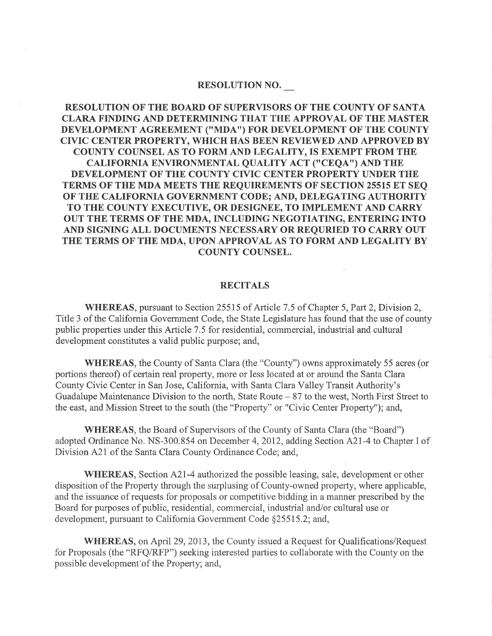## RESOLUTION NO.

RESOLUTION OF THE BOARD OF SUPERVISORS OF THE COUNTY OF SANTA CLARA FINDING AND DETERMINING THAT THE APPROVAL OF THE MASTER DEVELOPMENT AGREEMENT ("MDA") FOR DEVELOPMENT OF THE COUNTY CIVIC CENTER PROPERTY, WHICH HAS BEEN REVIEWED AND APPROVED BY COUNTY COUNSEL AS TO FORM AND LEGALITY, IS EXEMPT FROM THE CALIFORNIA ENVIRONMENTAL QUALITY ACT (''CEQA'') AND THE DEVELOPMENT OF THE COUNTY CIVIC CENTER PROPERTY UNDER THE TERMS OF THE MDA MEETS THE REQUIREMENTS OF SECTION 25515 ET SEQ OF THE CALIFORNIA GOVERNMENT CODE; AND, DELEGATING AUTHORITY TO THE COUNTY EXECUTIVE, OR DESIGNEE, TO IMPLEMENT AND CARRY OUT THE TERMS OF THE MDA, INCLUDING NEGOTIATING, ENTERING INTO AND SIGNING ALL DOCUMENTS NECESSARY OR REQURIED TO CARRY OUT THE TERMS OF THE MDA, UPON APPROVAL AS TO FORM AND LEGALITY BY COUNTY COUNSEL.

## RECITALS

WHEREAS, pursuant to Section 25515 of Article 7.5 of Chapter 5, Part 2, Division 2, Title 3 of the Califomia Government Code, the State Legislature has found that the use of county public properties under this Article 7 .5 for residential, commercial, industrial and cultural development constitutes a valid public purpose; and,

WHEREAS, the County of Santa Clara (the "County") owns approximately 55 acres (or portions thereof) of certain real property, more or less located at or around the Santa Clara County Civic Center in San Jose, California, with Santa Clara Valley Transit Authority's Guadalupe Maintenance Division to the north, State Route  $-87$  to the west, North First Street to the east, and Mission Street to the south (the "Property" or "Civic Center Property"); and,

WHEREAS, the Board of Supervisors of the County of Santa Clara (the "Board") adopted Ordinance No. NS-300.854 on December 4,2012, adding Section A2I-4 to Chapter I of Division 421 of the Santa Clara County Ordinance Code; and,

WHEREAS, Section A21-4 authorized the possible leasing, sale, development or other disposition of the Property through the surplusing of County-owned property, where applicable, and the issuance of requests for proposals or competitive bidding in a manner prescribed by the Board for purposes of public, residential, commercial, industrial and/or cultural use or development, pursuant to California Government Code \$25515.2; and,

WHEREAS, on April 29, 2013, the County issued a Request for Qualifications/Request for Proposals (the "RFQ/RFP") seeking interested parties to collaborate with the County on the possible development'of the Property; and,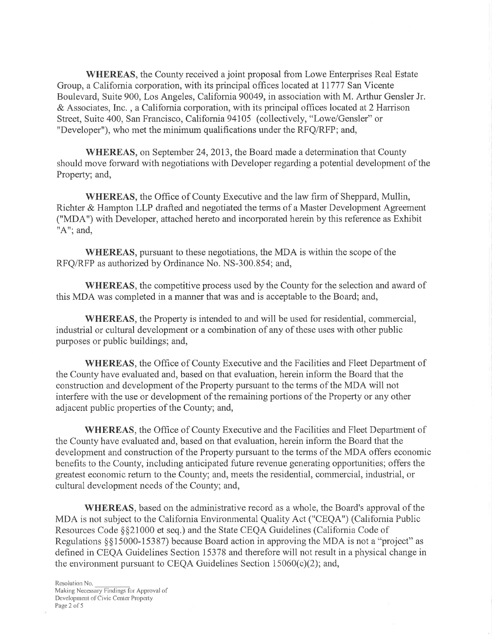\ryHEREAS, the County received a joint proposal from Lowe Enterprises Real Estate Group, a Califomia corporation, with its principal offices located at II777 San Vicente Boulevard, Suite 900, Los Angeles, California 90049, in association with M. Arthur Gensler Jr. & Associates, Inc. , a Califomia corporation, with its principal offices located at 2 Harrison Street, Suite 400, San Francisco, Califomia94105 (collectively, "Lowe/Gensler" or "Developer"), who met the minimum qualifications under the RFQ/RFP; and,

WHEREAS, on September 24,2013, the Board made a determination that County should move forward with negotiations with Developer regarding a potential development of the Property; and,

WHEREAS, the Office of County Executive and the law firm of Sheppard, Mullin, Richter & Hampton LLP drafted and negotiated the terms of a Master Development Agreement ("MDA") with Developer, attached hereto and incorporated herein by this reference as Exhibit " $A$ "; and,

WHEREAS, pursuant to these negotiations, the MDA is within the scope of the RFQ/RFP as authorized by Ordinance No. NS-300.854; and,

WHEREAS, the competitive process used by the County for the selection and award of this MDA was completed in a manner that was and is acceptable to the Board; and,

WHEREAS, the Property is intended to and will be used for residential, commercial, industrial or cultural development or a combination of any of these uses with other public purposes or public buildings; and,

WHEREAS, the Office of County Executive and the Facilities and Fleet Department of the County have evaluated and, based on that evaluation, herein inform the Board that the construction and development of the Property pursuant to the terms of the MDA will not interfere with the use or development of the remaining portions of the Property or any other adjacent public properties of the County; and,

\ryHEREAS, the Office of County Executive and the Facilities and Fleet Department of the County have evaluated and, based on that evaluation, herein inform the Board that the development and construction of the Property pursuant to the terms of the MDA offers economic benefits to the County, including anticipated future revenue generating opportunities; offers the greatest economic return to the County; and, meets the residential, commercial, industrial, or cultural development needs of the County; and,

WHEREAS, based on the administrative record as a whole, the Board's approval of the MDA is not subject to the California Environmental Quality Act ("CEQA") (California Public Resources Code \$\$21000 et seq.) and the State CEQA Guidelines (California Code of Regulations \$\$15000-15387) because Board action in approving the MDA is not a "project" as defined in CEQA Guidelines Section 15378 and therefore will not result in a physical change in the environment pursuant to CEQA Guidelines Section 15060(c)(2); and,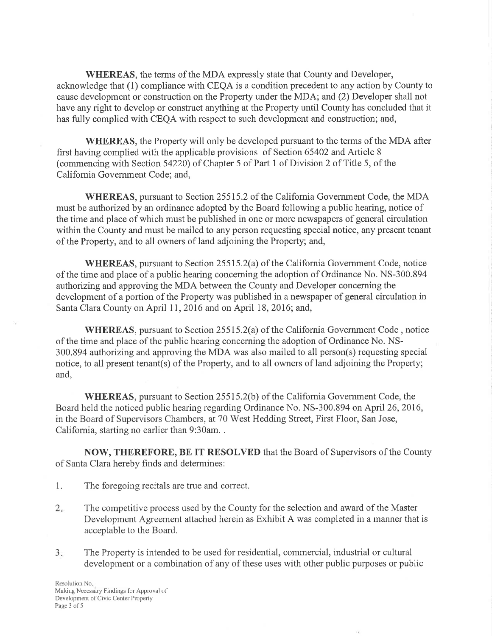WHEREAS, the terms of the MDA expressly state that County and Developer, acknowledge that (1) compliance with CEQA is a condition precedent to any action by County to cause development or construction on the Property under the MDA; and (2) Developer shall not have any right to develop or construct anything at the Property until County has concluded that it has fully complied with CEQA with respect to such development and construction; and,

WHEREAS, the Property will only be developed pursuant to the terms of the MDA after first having complied with the applicable provisions of Section 65402 and Article <sup>8</sup> (commencing with Section 54220) of Chapter 5 of Part I of Division 2 of Title 5, of the California Govemment Code; and,

WHEREAS, pursuant to Section 25515.2 of the California Government Code, the MDA must be authorized by an ordinance adopted by the Board following a public hearing, notice of the time and place of which must be published in one or more newspapers of general circulation within the County and must be mailed to any person requesting special notice, any present tenant of the Property, and to all owners of land adjoining the Property; and,

\ryHEREAS, pursuant to Section 255I5.2(a) of the California Government Code, notice of the time and place of a public hearing concerning the adoption of Ordinance No. NS-300.894 authorizing and approving the MDA between the County and Developer concerning the development of a portion of the Property was published in a newspaper of general circulation in Santa Clara County on April 11, 2016 and on April 18, 2016; and,

WHEREAS, pursuant to Section 25515.2(a) of the California Government Code, notice of the time and place of the public hearing concerning the adoption of Ordinance No. NS-300.894 authorizing and approving the MDA was also mailed to all person(s) requesting special notice, to all present tenant(s) of the Property, and to all owners of land adjoining the Property; and,

WHEREAS, pursuant to Section 25515.2(b) of the California Government Code, the Board held the noticed public hearing regarding Ordinance No. NS-300.894 on April 26,2016, in the Board of Supervisors Chambers, at 70 West Hedding Street, First Floor, San Jose, California, starting no earlier than 9:30am. .

NOW, THEREFORE, BE IT RESOLVED that the Board of Supervisors of the County of Santa Clara hereby finds and determines:

- 1. The foregoing recitals are true and correct.
- 2. The competitive process used by the County for the selection and award of the Master Development Agreement attached herein as Exhibit A was completed in a manner that is acceptable to the Board.
- The Property is intended to be used for residential, commercial, industrial or cultural development or a combination of any of these uses with other public purposes or public  $3.$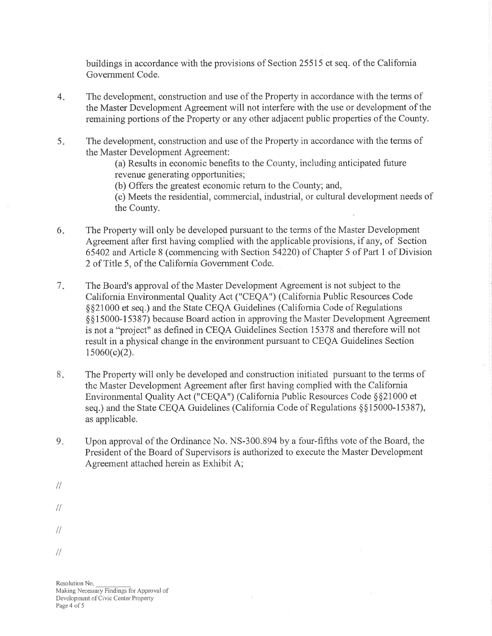buildings in accordance with the provisions of Section25515 et seq. of the Califomia Government Code.

- 4 The development, construction and use of the Property in accordance with the terms of the Master Development Agreement will not interfere with the use or development of the remaining portions of the Property or any other adjacent public properties of the County.
- 5 The development, construction and use of the Property in accordance with the terms of the Master Development Agreement:

(a) Results in economic benefits to the County, including anticipated future revenue generating opportunities;

(b) Offers the greatest economic retum to the County; and,

(c) Meets the residential, commercial, industrial, or cultural development needs of the County.

- 6 The Property will only be developed pursuant to the terms of the Master Development Agreement after first having complied with the applicable provisions, if any, of Section 65402 and Article 8 (commencing with Section 54220) of Chapter 5 of Part 1 of Division 2 of Title 5, of the California Government Code.
- $7.$ The Board's approval of the Master Development Agreement is not subject to the California Environmental Quality Act ("CEQA") (California Public Resources Code \$\$21000 et seq.) and the State CEQA Guidelines (California Code of Regulations \$\$15000-15387) because Board action in approving the Master Development Agteement is not a "project" as defined in CEQA Guidelines Section 15318 and therefore will not result in a physical change in the environment pursuant to CEQA Guidelines Section  $15060(c)(2)$ .
- 8. The Property will only be developed and construction initiated pursuant to the terms of the Master Development Agreement after first having complied with the California Environmental Quality Act ("CEQA") (California Public Resources Code \$\$21000 et seq.) and the State CEQA Guidelines (California Code of Regulations \$\$15000-15387), as applicable.
- $9<sub>w</sub>$ Upon approval of the Ordinance No. NS-300.894 by a four-fifths vote of the Board, the President of the Board of Supervisors is authorized to execute the Master Development Agreement attached herein as Exhibit A;
- $\frac{1}{2}$
- $\frac{1}{2}$
- 
- $\frac{1}{2}$
- $\frac{1}{2}$

Resolution No. Making Necessary Findings for Approval of Development of Civic Center Property Page 4 of 5